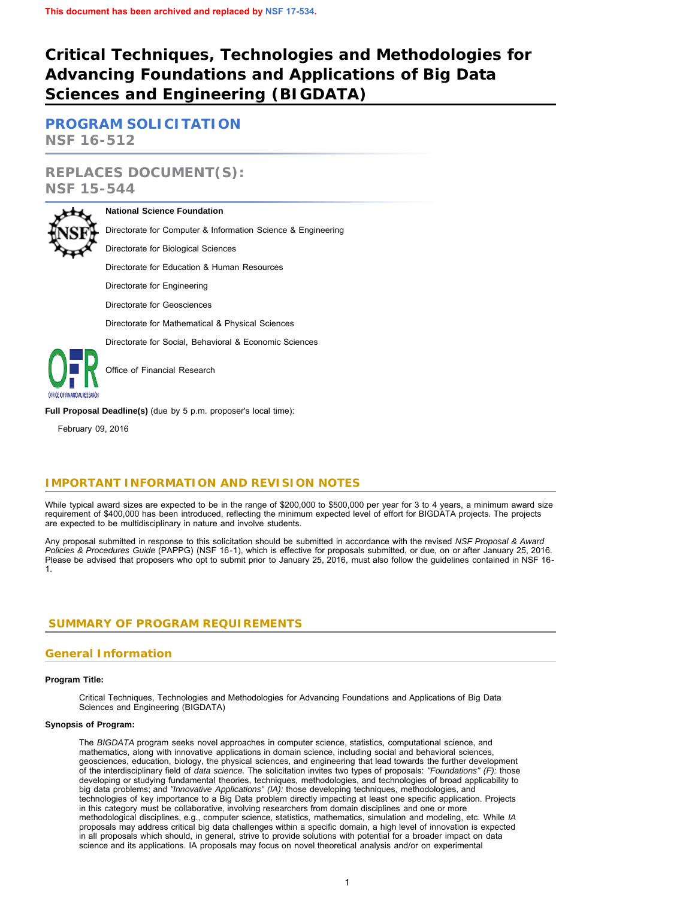# **Critical Techniques, Technologies and Methodologies for Advancing Foundations and Applications of Big Data Sciences and Engineering (BIGDATA)**

**[PROGRAM SOLICITATION](#page-2-0) NSF 16-512**

# **REPLACES DOCUMENT(S): NSF 15-544**



### **National Science Foundation**

Directorate for Computer & Information Science & Engineering

Directorate for Biological Sciences

Directorate for Education & Human Resources

Directorate for Engineering

Directorate for Geosciences

Directorate for Mathematical & Physical Sciences

Directorate for Social, Behavioral & Economic Sciences



Office of Financial Research

**Full Proposal Deadline(s)** (due by 5 p.m. proposer's local time):

February 09, 2016

# **IMPORTANT INFORMATION AND REVISION NOTES**

While typical award sizes are expected to be in the range of \$200,000 to \$500,000 per year for 3 to 4 years, a minimum award size requirement of \$400,000 has been introduced, reflecting the minimum expected level of effort for BIGDATA projects. The projects are expected to be multidisciplinary in nature and involve students.

Any proposal submitted in response to this solicitation should be submitted in accordance with the revised *NSF Proposal & Award Policies & Procedures Guide* (PAPPG) (NSF 16-1), which is effective for proposals submitted, or due, on or after January 25, 2016. Please be advised that proposers who opt to submit prior to January 25, 2016, must also follow the guidelines contained in NSF 16- 1.

## <span id="page-0-0"></span> **SUMMARY OF PROGRAM REQUIREMENTS**

### **General Information**

### **Program Title:**

Critical Techniques, Technologies and Methodologies for Advancing Foundations and Applications of Big Data Sciences and Engineering (BIGDATA)

### **Synopsis of Program:**

The *BIGDATA* program seeks novel approaches in computer science, statistics, computational science, and mathematics, along with innovative applications in domain science, including social and behavioral sciences, geosciences, education, biology, the physical sciences, and engineering that lead towards the further development of the interdisciplinary field of *data science.* The solicitation invites two types of proposals: *"Foundations" (F):* those developing or studying fundamental theories, techniques, methodologies, and technologies of broad applicability to big data problems; and *"Innovative Applications" (IA):* those developing techniques, methodologies, and technologies of key importance to a Big Data problem directly impacting at least one specific application. Projects in this category must be collaborative, involving researchers from domain disciplines and one or more methodological disciplines, e.g., computer science, statistics, mathematics, simulation and modeling, etc. While *IA* proposals may address critical big data challenges within a specific domain, a high level of innovation is expected in all proposals which should, in general, strive to provide solutions with potential for a broader impact on data science and its applications. IA proposals may focus on novel theoretical analysis and/or on experimental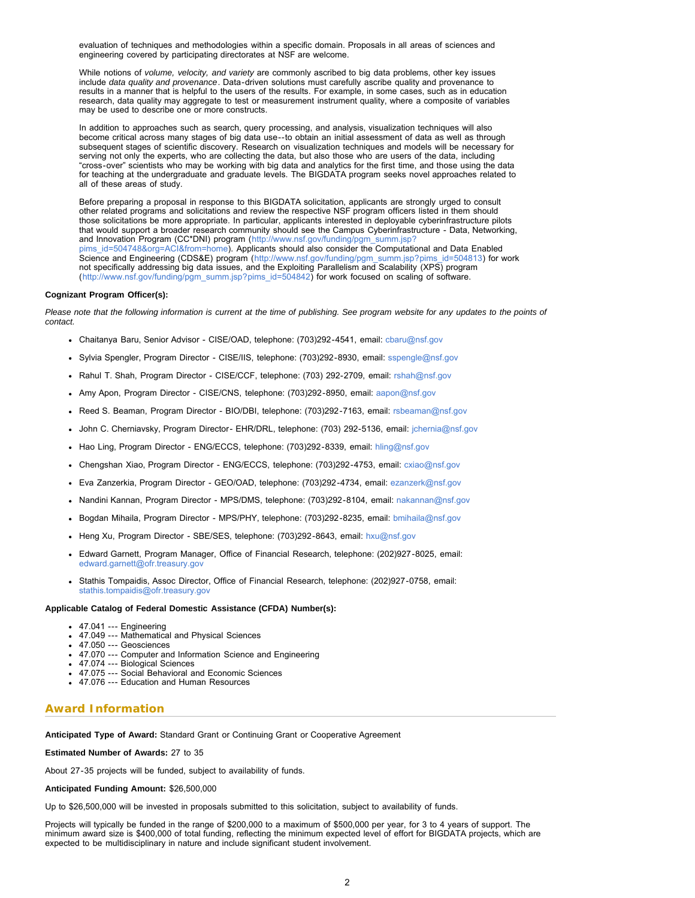evaluation of techniques and methodologies within a specific domain. Proposals in all areas of sciences and engineering covered by participating directorates at NSF are welcome.

While notions of *volume, velocity, and variety* are commonly ascribed to big data problems, other key issues include *data quality and provenance*. Data-driven solutions must carefully ascribe quality and provenance to results in a manner that is helpful to the users of the results. For example, in some cases, such as in education research, data quality may aggregate to test or measurement instrument quality, where a composite of variables may be used to describe one or more constructs.

In addition to approaches such as search, query processing, and analysis, visualization techniques will also become critical across many stages of big data use--to obtain an initial assessment of data as well as through subsequent stages of scientific discovery. Research on visualization techniques and models will be necessary for serving not only the experts, who are collecting the data, but also those who are users of the data, including "cross-over" scientists who may be working with big data and analytics for the first time, and those using the data for teaching at the undergraduate and graduate levels. The BIGDATA program seeks novel approaches related to all of these areas of study.

Before preparing a proposal in response to this BIGDATA solicitation, applicants are strongly urged to consult other related programs and solicitations and review the respective NSF program officers listed in them should those solicitations be more appropriate. In particular, applicants interested in deployable cyberinfrastructure pilots that would support a broader research community should see the Campus Cyberinfrastructure - Data, Networking, and Innovation Program (CC\*DNI) program ([http://www.nsf.gov/funding/pgm\\_summ.jsp?](http://www.nsf.gov/funding/pgm_summ.jsp?pims_id=504748&org=ACI&from=home) [pims\\_id=504748&org=ACI&from=home](http://www.nsf.gov/funding/pgm_summ.jsp?pims_id=504748&org=ACI&from=home)). Applicants should also consider the Computational and Data Enabled Science and Engineering (CDS&E) program ([http://www.nsf.gov/funding/pgm\\_summ.jsp?pims\\_id=504813](http://www.nsf.gov/funding/pgm_summ.jsp?pims_id=504813)) for work not specifically addressing big data issues, and the Exploiting Parallelism and Scalability (XPS) program ([http://www.nsf.gov/funding/pgm\\_summ.jsp?pims\\_id=504842\)](http://www.nsf.gov/funding/pgm_summ.jsp?pims_id=504842) for work focused on scaling of software.

#### **Cognizant Program Officer(s):**

*Please note that the following information is current at the time of publishing. See program website for any updates to the points of contact.*

- Chaitanya Baru, Senior Advisor CISE/OAD, telephone: (703)292-4541, email: [cbaru@nsf.gov](mailto:cbaru@nsf.gov)
- Sylvia Spengler, Program Director CISE/IIS, telephone: (703)292-8930, email: [sspengle@nsf.gov](mailto:sspengle@nsf.gov)
- Rahul T. Shah, Program Director CISE/CCF, telephone: (703) 292-2709, email: [rshah@nsf.gov](mailto:rshah@nsf.gov)
- Amy Apon, Program Director CISE/CNS, telephone: (703)292-8950, email: [aapon@nsf.gov](mailto:aapon@nsf.gov)
- Reed S. Beaman, Program Director BIO/DBI, telephone: (703)292-7163, email: [rsbeaman@nsf.gov](mailto:rsbeaman@nsf.gov)
- John C. Cherniavsky, Program Director- EHR/DRL, telephone: (703) 292-5136, email: [jchernia@nsf.gov](mailto:jchernia@nsf.gov)
- Hao Ling, Program Director ENG/ECCS, telephone: (703)292-8339, email: [hling@nsf.gov](mailto:hling@nsf.gov)
- Chengshan Xiao, Program Director ENG/ECCS, telephone: (703)292-4753, email: [cxiao@nsf.gov](mailto:cxiao@nsf.gov)
- Eva Zanzerkia, Program Director GEO/OAD, telephone: (703)292-4734, email: [ezanzerk@nsf.gov](mailto:ezanzerk@nsf.gov)
- Nandini Kannan, Program Director MPS/DMS, telephone: (703)292-8104, email: [nakannan@nsf.gov](mailto:nakannan@nsf.gov)
- Bogdan Mihaila, Program Director MPS/PHY, telephone: (703)292-8235, email: [bmihaila@nsf.gov](mailto:bmihaila@nsf.gov)
- Heng Xu, Program Director SBE/SES, telephone: (703)292-8643, email: [hxu@nsf.gov](mailto:hxu@nsf.gov)
- Edward Garnett, Program Manager, Office of Financial Research, telephone: (202)927-8025, email: [edward.garnett@ofr.treasury.gov](mailto:edward.garnett@ofr.treasury.gov)
- Stathis Tompaidis, Assoc Director, Office of Financial Research, telephone: (202)927-0758, email: [stathis.tompaidis@ofr.treasury.gov](mailto:stathis.tompaidis@ofr.treasury.gov)

#### **Applicable Catalog of Federal Domestic Assistance (CFDA) Number(s):**

- 47.041 --- Engineering
- 47.049 --- Mathematical and Physical Sciences
- 47.050 --- Geosciences
- 47.070 --- Computer and Information Science and Engineering
- 47.074 --- Biological Sciences
- 47.075 --- Social Behavioral and Economic Sciences
- 47.076 --- Education and Human Resources

### **Award Information**

**Anticipated Type of Award:** Standard Grant or Continuing Grant or Cooperative Agreement

**Estimated Number of Awards:** 27 to 35

About 27-35 projects will be funded, subject to availability of funds.

#### **Anticipated Funding Amount:** \$26,500,000

Up to \$26,500,000 will be invested in proposals submitted to this solicitation, subject to availability of funds.

Projects will typically be funded in the range of \$200,000 to a maximum of \$500,000 per year, for 3 to 4 years of support. The minimum award size is \$400,000 of total funding, reflecting the minimum expected level of effort for BIGDATA projects, which are expected to be multidisciplinary in nature and include significant student involvement.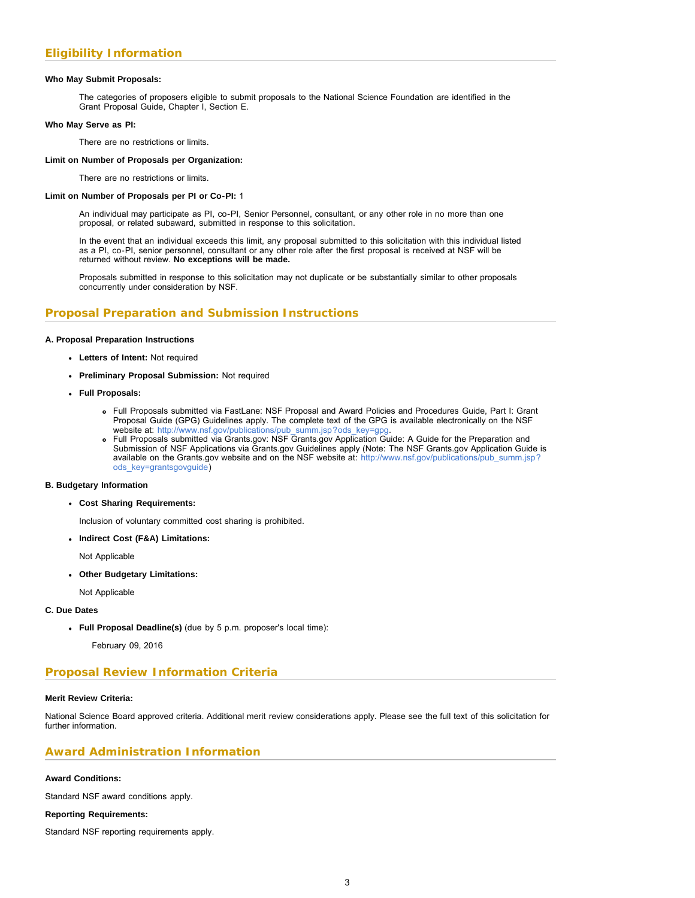### **Who May Submit Proposals:**

The categories of proposers eligible to submit proposals to the National Science Foundation are identified in the Grant Proposal Guide, Chapter I, Section E.

#### **Who May Serve as PI:**

There are no restrictions or limits.

#### **Limit on Number of Proposals per Organization:**

There are no restrictions or limits.

#### **Limit on Number of Proposals per PI or Co-PI:** 1

An individual may participate as PI, co-PI, Senior Personnel, consultant, or any other role in no more than one proposal, or related subaward, submitted in response to this solicitation.

In the event that an individual exceeds this limit, any proposal submitted to this solicitation with this individual listed as a PI, co-PI, senior personnel, consultant or any other role after the first proposal is received at NSF will be returned without review. **No exceptions will be made.**

Proposals submitted in response to this solicitation may not duplicate or be substantially similar to other proposals concurrently under consideration by NSF.

### **Proposal Preparation and Submission Instructions**

#### **A. Proposal Preparation Instructions**

- **Letters of Intent:** Not required
- **Preliminary Proposal Submission:** Not required
- **Full Proposals:**
	- Full Proposals submitted via FastLane: NSF Proposal and Award Policies and Procedures Guide, Part I: Grant Proposal Guide (GPG) Guidelines apply. The complete text of the GPG is available electronically on the NSF website at: [http://www.nsf.gov/publications/pub\\_summ.jsp?ods\\_key=gpg.](http://www.nsf.gov/publications/pub_summ.jsp?ods_key=gpg)
	- Full Proposals submitted via Grants.gov: NSF Grants.gov Application Guide: A Guide for the Preparation and Submission of NSF Applications via Grants.gov Guidelines apply (Note: The NSF Grants.gov Application Guide is available on the Grants.gov website and on the NSF website at: [http://www.nsf.gov/publications/pub\\_summ.jsp?](http://www.nsf.gov/publications/pub_summ.jsp?ods_key=grantsgovguide) [ods\\_key=grantsgovguide\)](http://www.nsf.gov/publications/pub_summ.jsp?ods_key=grantsgovguide)

#### **B. Budgetary Information**

- **Cost Sharing Requirements:**
	- Inclusion of voluntary committed cost sharing is prohibited.
- **Indirect Cost (F&A) Limitations:**

Not Applicable

**Other Budgetary Limitations:**

Not Applicable

### **C. Due Dates**

**Full Proposal Deadline(s)** (due by 5 p.m. proposer's local time):

February 09, 2016

### **Proposal Review Information Criteria**

#### **Merit Review Criteria:**

National Science Board approved criteria. Additional merit review considerations apply. Please see the full text of this solicitation for further information.

### **Award Administration Information**

### **Award Conditions:**

Standard NSF award conditions apply.

### **Reporting Requirements:**

<span id="page-2-0"></span>Standard NSF reporting requirements apply.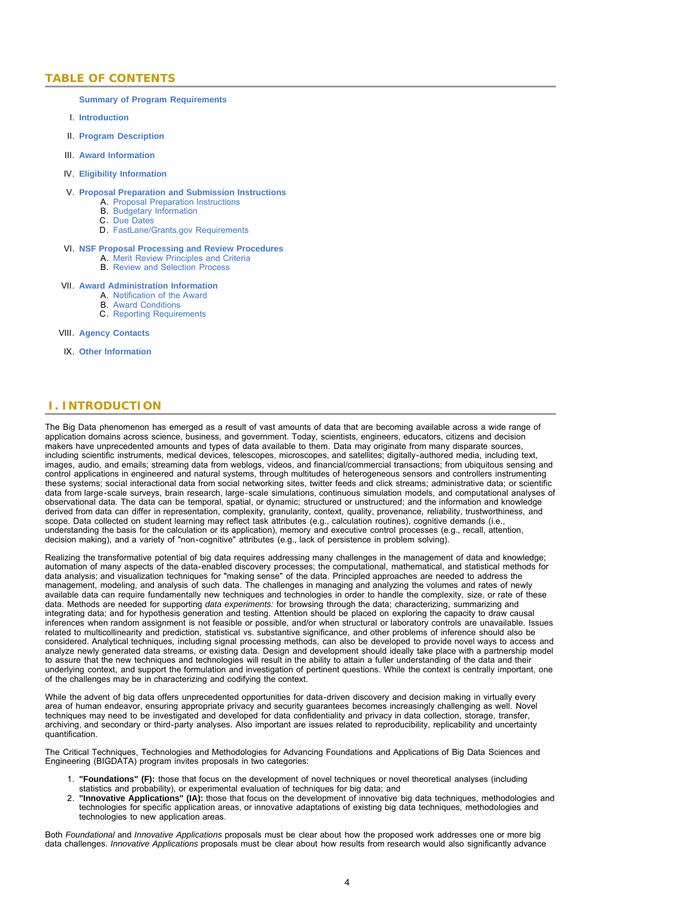### **TABLE OF CONTENTS**

#### **[Summary of Program Requirements](#page-0-0)**

- I. **[Introduction](#page-3-0)**
- II. **[Program Description](#page-4-0)**
- III. **[Award Information](#page-5-0)**
- IV. **[Eligibility Information](#page-5-1)**

#### V. **[Proposal Preparation and Submission Instructions](#page-5-2)**

- A. [Proposal Preparation Instructions](#page-5-2)
- B. [Budgetary Information](#page-7-0)
- C. [Due Dates](#page-7-1)
- D. [FastLane/Grants.gov Requirements](#page-7-2)

#### VI. **[NSF Proposal Processing and Review Procedures](#page-8-0)**

- A. [Merit Review Principles and Criteria](#page-8-1)
- B. [Review and Selection Process](#page-9-0)

#### VII. **[Award Administration Information](#page-10-0)**

- A. [Notification of the Award](#page-10-1)
- B. [Award Conditions](#page-10-2)
- C. [Reporting Requirements](#page-10-3)

#### VIII. **[Agency Contacts](#page-10-4)**

IX. **[Other Information](#page-11-0)**

### <span id="page-3-0"></span> **I. INTRODUCTION**

The Big Data phenomenon has emerged as a result of vast amounts of data that are becoming available across a wide range of application domains across science, business, and government. Today, scientists, engineers, educators, citizens and decision makers have unprecedented amounts and types of data available to them. Data may originate from many disparate sources, including scientific instruments, medical devices, telescopes, microscopes, and satellites; digitally-authored media, including text, images, audio, and emails; streaming data from weblogs, videos, and financial/commercial transactions; from ubiquitous sensing and control applications in engineered and natural systems, through multitudes of heterogeneous sensors and controllers instrumenting these systems; social interactional data from social networking sites, twitter feeds and click streams; administrative data; or scientific data from large-scale surveys, brain research, large-scale simulations, continuous simulation models, and computational analyses of observational data. The data can be temporal, spatial, or dynamic; structured or unstructured; and the information and knowledge derived from data can differ in representation, complexity, granularity, context, quality, provenance, reliability, trustworthiness, and scope. Data collected on student learning may reflect task attributes (e.g., calculation routines), cognitive demands (i.e., understanding the basis for the calculation or its application), memory and executive control processes (e.g., recall, attention, decision making), and a variety of "non-cognitive" attributes (e.g., lack of persistence in problem solving).

Realizing the transformative potential of big data requires addressing many challenges in the management of data and knowledge; automation of many aspects of the data-enabled discovery processes; the computational, mathematical, and statistical methods for data analysis; and visualization techniques for "making sense" of the data. Principled approaches are needed to address the management, modeling, and analysis of such data*.* The challenges in managing and analyzing the volumes and rates of newly available data can require fundamentally new techniques and technologies in order to handle the complexity, size, or rate of these data. Methods are needed for supporting *data experiments:* for browsing through the data; characterizing, summarizing and integrating data; and for hypothesis generation and testing. Attention should be placed on exploring the capacity to draw causal inferences when random assignment is not feasible or possible, and/or when structural or laboratory controls are unavailable. Issues related to multicollinearity and prediction, statistical vs. substantive significance, and other problems of inference should also be considered. Analytical techniques, including signal processing methods, can also be developed to provide novel ways to access and analyze newly generated data streams, or existing data. Design and development should ideally take place with a partnership model to assure that the new techniques and technologies will result in the ability to attain a fuller understanding of the data and their underlying context, and support the formulation and investigation of pertinent questions. While the context is centrally important, one of the challenges may be in characterizing and codifying the context.

While the advent of big data offers unprecedented opportunities for data-driven discovery and decision making in virtually every area of human endeavor, ensuring appropriate privacy and security guarantees becomes increasingly challenging as well. Novel techniques may need to be investigated and developed for data confidentiality and privacy in data collection, storage, transfer, archiving, and secondary or third-party analyses. Also important are issues related to reproducibility, replicability and uncertainty quantification.

The Critical Techniques, Technologies and Methodologies for Advancing Foundations and Applications of Big Data Sciences and Engineering (BIGDATA) program invites proposals in two categories:

- 1. **"Foundations" (F):** those that focus on the development of novel techniques or novel theoretical analyses (including statistics and probability), or experimental evaluation of techniques for big data; and
- 2. **"Innovative Applications" (IA):** those that focus on the development of innovative big data techniques, methodologies and technologies for specific application areas, or innovative adaptations of existing big data techniques, methodologies and technologies to new application areas.

Both *Foundational* and *Innovative Applications* proposals must be clear about how the proposed work addresses one or more big data challenges. *Innovative Applications* proposals must be clear about how results from research would also significantly advance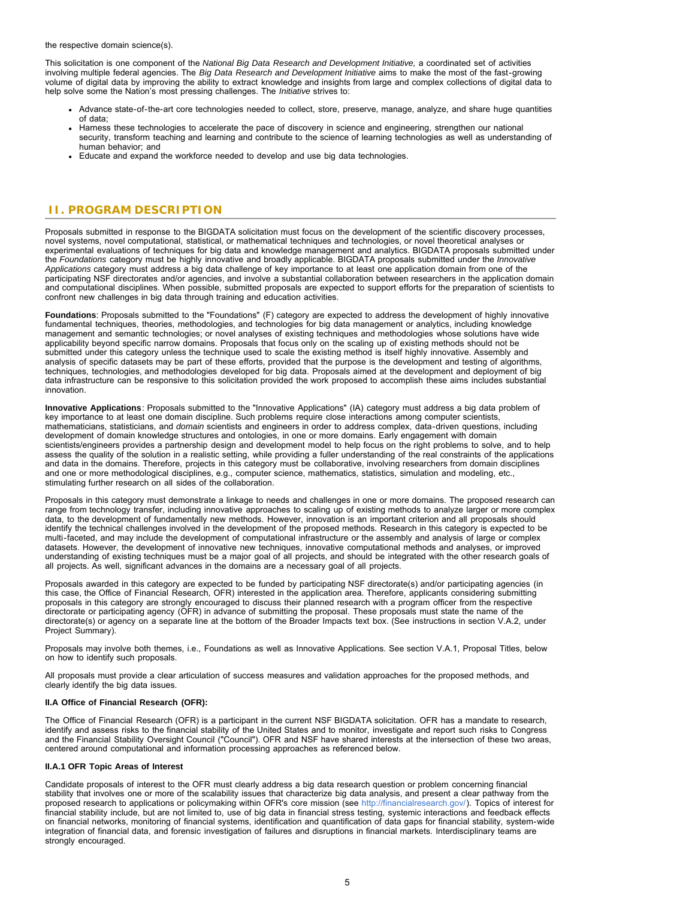the respective domain science(s).

This solicitation is one component of the *National Big Data Research and Development Initiative,* a coordinated set of activities involving multiple federal agencies. The *Big Data Research and Development Initiative* aims to make the most of the fast-growing volume of digital data by improving the ability to extract knowledge and insights from large and complex collections of digital data to help solve some the Nation's most pressing challenges. The *Initiative* strives to:

- Advance state-of-the-art core technologies needed to collect, store, preserve, manage, analyze, and share huge quantities of data;
- Harness these technologies to accelerate the pace of discovery in science and engineering, strengthen our national security, transform teaching and learning and contribute to the science of learning technologies as well as understanding of human behavior; and
- Educate and expand the workforce needed to develop and use big data technologies.

### <span id="page-4-0"></span> **II. PROGRAM DESCRIPTION**

Proposals submitted in response to the BIGDATA solicitation must focus on the development of the scientific discovery processes, novel systems, novel computational, statistical, or mathematical techniques and technologies, or novel theoretical analyses or experimental evaluations of techniques for big data and knowledge management and analytics. BIGDATA proposals submitted under the *Foundations* category must be highly innovative and broadly applicable. BIGDATA proposals submitted under the *Innovative Applications* category must address a big data challenge of key importance to at least one application domain from one of the participating NSF directorates and/or agencies, and involve a substantial collaboration between researchers in the application domain and computational disciplines. When possible, submitted proposals are expected to support efforts for the preparation of scientists to confront new challenges in big data through training and education activities.

**Foundations**: Proposals submitted to the "Foundations" (F) category are expected to address the development of highly innovative fundamental techniques, theories, methodologies, and technologies for big data management or analytics, including knowledge management and semantic technologies; or novel analyses of existing techniques and methodologies whose solutions have wide applicability beyond specific narrow domains. Proposals that focus only on the scaling up of existing methods should not be submitted under this category unless the technique used to scale the existing method is itself highly innovative. Assembly and analysis of specific datasets may be part of these efforts, provided that the purpose is the development and testing of algorithms, techniques, technologies, and methodologies developed for big data. Proposals aimed at the development and deployment of big data infrastructure can be responsive to this solicitation provided the work proposed to accomplish these aims includes substantial innovation.

**Innovative Applications**: Proposals submitted to the "Innovative Applications" (IA) category must address a big data problem of key importance to at least one domain discipline. Such problems require close interactions among computer scientists, mathematicians, statisticians, and *domain* scientists and engineers in order to address complex, data-driven questions, including development of domain knowledge structures and ontologies, in one or more domains. Early engagement with domain scientists/engineers provides a partnership design and development model to help focus on the right problems to solve, and to help assess the quality of the solution in a realistic setting, while providing a fuller understanding of the real constraints of the applications and data in the domains. Therefore, projects in this category must be collaborative, involving researchers from domain disciplines and one or more methodological disciplines, e.g., computer science, mathematics, statistics, simulation and modeling, etc., stimulating further research on all sides of the collaboration.

Proposals in this category must demonstrate a linkage to needs and challenges in one or more domains. The proposed research can range from technology transfer, including innovative approaches to scaling up of existing methods to analyze larger or more complex data, to the development of fundamentally new methods. However, innovation is an important criterion and all proposals should identify the technical challenges involved in the development of the proposed methods. Research in this category is expected to be multi-faceted, and may include the development of computational infrastructure or the assembly and analysis of large or complex datasets. However, the development of innovative new techniques, innovative computational methods and analyses, or improved understanding of existing techniques must be a major goal of all projects, and should be integrated with the other research goals of all projects. As well, significant advances in the domains are a necessary goal of all projects.

Proposals awarded in this category are expected to be funded by participating NSF directorate(s) and/or participating agencies (in this case, the Office of Financial Research, OFR) interested in the application area. Therefore, applicants considering submitting proposals in this category are strongly encouraged to discuss their planned research with a program officer from the respective directorate or participating agency (OFR) in advance of submitting the proposal. These proposals must state the name of the directorate(s) or agency on a separate line at the bottom of the Broader Impacts text box. (See instructions in section V.A.2, under Project Summary).

Proposals may involve both themes, i.e., Foundations as well as Innovative Applications. See section V.A.1, Proposal Titles, below on how to identify such proposals.

All proposals must provide a clear articulation of success measures and validation approaches for the proposed methods, and clearly identify the big data issues.

### **II.A Office of Financial Research (OFR):**

The Office of Financial Research (OFR) is a participant in the current NSF BIGDATA solicitation. OFR has a mandate to research, identify and assess risks to the financial stability of the United States and to monitor, investigate and report such risks to Congress and the Financial Stability Oversight Council ("Council"). OFR and NSF have shared interests at the intersection of these two areas, centered around computational and information processing approaches as referenced below.

### **II.A.1 OFR Topic Areas of Interest**

Candidate proposals of interest to the OFR must clearly address a big data research question or problem concerning financial stability that involves one or more of the scalability issues that characterize big data analysis, and present a clear pathway from the proposed research to applications or policymaking within OFR's core mission (see <http://financialresearch.gov/>). Topics of interest for financial stability include, but are not limited to, use of big data in financial stress testing, systemic interactions and feedback effects on financial networks, monitoring of financial systems, identification and quantification of data gaps for financial stability, system-wide integration of financial data, and forensic investigation of failures and disruptions in financial markets. Interdisciplinary teams are strongly encouraged.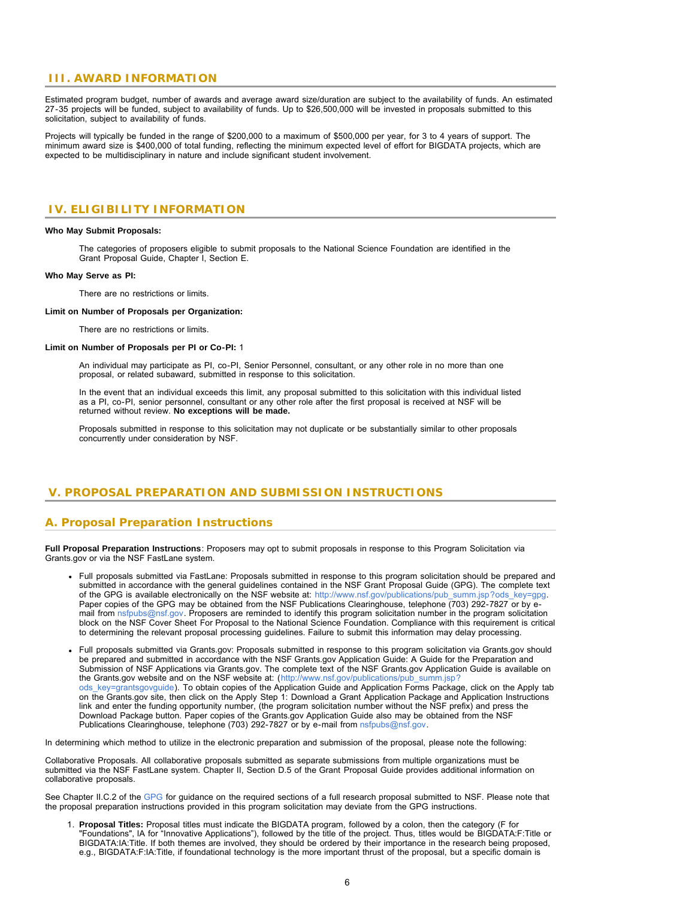### <span id="page-5-0"></span> **III. AWARD INFORMATION**

Estimated program budget, number of awards and average award size/duration are subject to the availability of funds. An estimated 27-35 projects will be funded, subject to availability of funds. Up to \$26,500,000 will be invested in proposals submitted to this solicitation, subject to availability of funds.

Projects will typically be funded in the range of \$200,000 to a maximum of \$500,000 per year, for 3 to 4 years of support. The minimum award size is \$400,000 of total funding, reflecting the minimum expected level of effort for BIGDATA projects, which are expected to be multidisciplinary in nature and include significant student involvement.

### <span id="page-5-1"></span> **IV. ELIGIBILITY INFORMATION**

#### **Who May Submit Proposals:**

The categories of proposers eligible to submit proposals to the National Science Foundation are identified in the Grant Proposal Guide, Chapter I, Section E.

#### **Who May Serve as PI:**

There are no restrictions or limits.

#### **Limit on Number of Proposals per Organization:**

There are no restrictions or limits.

#### **Limit on Number of Proposals per PI or Co-PI:** 1

An individual may participate as PI, co-PI, Senior Personnel, consultant, or any other role in no more than one proposal, or related subaward, submitted in response to this solicitation.

In the event that an individual exceeds this limit, any proposal submitted to this solicitation with this individual listed as a PI, co-PI, senior personnel, consultant or any other role after the first proposal is received at NSF will be returned without review. **No exceptions will be made.**

Proposals submitted in response to this solicitation may not duplicate or be substantially similar to other proposals concurrently under consideration by NSF.

### <span id="page-5-2"></span> **V. PROPOSAL PREPARATION AND SUBMISSION INSTRUCTIONS**

### **A. Proposal Preparation Instructions**

**Full Proposal Preparation Instructions**: Proposers may opt to submit proposals in response to this Program Solicitation via Grants.gov or via the NSF FastLane system.

- Full proposals submitted via FastLane: Proposals submitted in response to this program solicitation should be prepared and submitted in accordance with the general guidelines contained in the NSF Grant Proposal Guide (GPG). The complete text of the GPG is available electronically on the NSF website at: [http://www.nsf.gov/publications/pub\\_summ.jsp?ods\\_key=gpg.](http://www.nsf.gov/publications/pub_summ.jsp?ods_key=gpg) Paper copies of the GPG may be obtained from the NSF Publications Clearinghouse, telephone (703) 292-7827 or by email from [nsfpubs@nsf.gov.](mailto:nsfpubs@nsf.gov) Proposers are reminded to identify this program solicitation number in the program solicitation block on the NSF Cover Sheet For Proposal to the National Science Foundation. Compliance with this requirement is critical to determining the relevant proposal processing guidelines. Failure to submit this information may delay processing.
- Full proposals submitted via Grants.gov: Proposals submitted in response to this program solicitation via Grants.gov should be prepared and submitted in accordance with the NSF Grants.gov Application Guide: A Guide for the Preparation and Submission of NSF Applications via Grants.gov. The complete text of the NSF Grants.gov Application Guide is available on the Grants.gov website and on the NSF website at: ([http://www.nsf.gov/publications/pub\\_summ.jsp?](http://www.nsf.gov/publications/pub_summ.jsp?ods_key=grantsgovguide) [ods\\_key=grantsgovguide\)](http://www.nsf.gov/publications/pub_summ.jsp?ods_key=grantsgovguide). To obtain copies of the Application Guide and Application Forms Package, click on the Apply tab on the Grants.gov site, then click on the Apply Step 1: Download a Grant Application Package and Application Instructions link and enter the funding opportunity number, (the program solicitation number without the NSF prefix) and press the Download Package button. Paper copies of the Grants.gov Application Guide also may be obtained from the NSF Publications Clearinghouse, telephone (703) 292-7827 or by e-mail from [nsfpubs@nsf.gov.](mailto:nsfpubs@nsf.gov)

In determining which method to utilize in the electronic preparation and submission of the proposal, please note the following:

Collaborative Proposals. All collaborative proposals submitted as separate submissions from multiple organizations must be submitted via the NSF FastLane system. Chapter II, Section D.5 of the Grant Proposal Guide provides additional information on collaborative proposals.

See Chapter II.C.2 of the [GPG](http://www.nsf.gov/publications/pub_summ.jsp?ods_key=gpg) for guidance on the required sections of a full research proposal submitted to NSF. Please note that the proposal preparation instructions provided in this program solicitation may deviate from the GPG instructions.

1. **Proposal Titles:** Proposal titles must indicate the BIGDATA program, followed by a colon, then the category (F for "Foundations", IA for "Innovative Applications"), followed by the title of the project. Thus, titles would be BIGDATA:F:Title or BIGDATA:IA:Title. If both themes are involved, they should be ordered by their importance in the research being proposed, e.g., BIGDATA:F:IA:Title, if foundational technology is the more important thrust of the proposal, but a specific domain is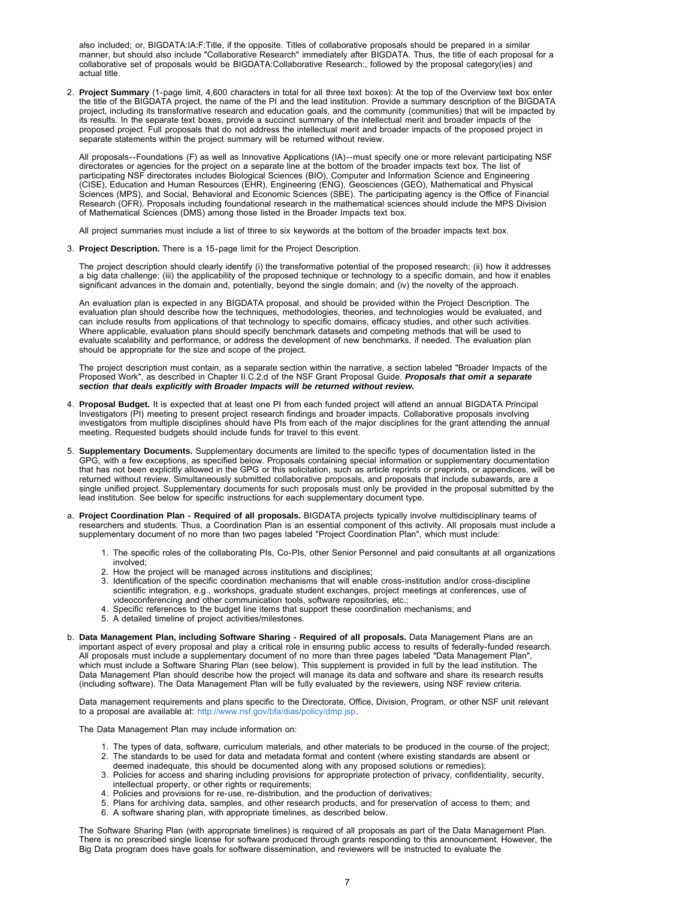also included; or, BIGDATA:IA:F:Title, if the opposite. Titles of collaborative proposals should be prepared in a similar manner, but should also include "Collaborative Research" immediately after BIGDATA. Thus, the title of each proposal for a collaborative set of proposals would be BIGDATA:Collaborative Research:, followed by the proposal category(ies) and actual title.

2. **Project Summary** (1-page limit, 4,600 characters in total for all three text boxes): At the top of the Overview text box enter the title of the BIGDATA project, the name of the PI and the lead institution. Provide a summary description of the BIGDATA project, including its transformative research and education goals, and the community (communities) that will be impacted by its results. In the separate text boxes, provide a succinct summary of the intellectual merit and broader impacts of the proposed project. Full proposals that do not address the intellectual merit and broader impacts of the proposed project in separate statements within the project summary will be returned without review.

All proposals--Foundations (F) as well as Innovative Applications (IA)--must specify one or more relevant participating NSF directorates or agencies for the project on a separate line at the bottom of the broader impacts text box. The list of participating NSF directorates includes Biological Sciences (BIO), Computer and Information Science and Engineering (CISE), Education and Human Resources (EHR), Engineering (ENG), Geosciences (GEO), Mathematical and Physical Sciences (MPS), and Social, Behavioral and Economic Sciences (SBE). The participating agency is the Office of Financial Research (OFR). Proposals including foundational research in the mathematical sciences should include the MPS Division of Mathematical Sciences (DMS) among those listed in the Broader Impacts text box.

All project summaries must include a list of three to six keywords at the bottom of the broader impacts text box.

3. **Project Description.** There is a 15-page limit for the Project Description.

The project description should clearly identify (i) the transformative potential of the proposed research; (ii) how it addresses a big data challenge; (iii) the applicability of the proposed technique or technology to a specific domain, and how it enables significant advances in the domain and, potentially, beyond the single domain; and (iv) the novelty of the approach.

An evaluation plan is expected in any BIGDATA proposal, and should be provided within the Project Description. The evaluation plan should describe how the techniques, methodologies, theories, and technologies would be evaluated, and can include results from applications of that technology to specific domains, efficacy studies, and other such activities. Where applicable, evaluation plans should specify benchmark datasets and competing methods that will be used to evaluate scalability and performance, or address the development of new benchmarks, if needed. The evaluation plan should be appropriate for the size and scope of the project.

The project description must contain, as a separate section within the narrative, a section labeled "Broader Impacts of the Proposed Work", as described in Chapter II.C.2.d of the NSF Grant Proposal Guide. *Proposals that omit a separate section that deals explicitly with Broader Impacts will be returned without review.*

- 4. **Proposal Budget.** It is expected that at least one PI from each funded project will attend an annual BIGDATA Principal Investigators (PI) meeting to present project research findings and broader impacts. Collaborative proposals involving investigators from multiple disciplines should have PIs from each of the major disciplines for the grant attending the annual meeting. Requested budgets should include funds for travel to this event.
- 5. **Supplementary Documents.** Supplementary documents are limited to the specific types of documentation listed in the GPG, with a few exceptions, as specified below. Proposals containing special information or supplementary documentation that has not been explicitly allowed in the GPG or this solicitation, such as article reprints or preprints, or appendices, will be returned without review. Simultaneously submitted collaborative proposals, and proposals that include subawards, are a single unified project. Supplementary documents for such proposals must only be provided in the proposal submitted by the lead institution. See below for specific instructions for each supplementary document type.
- a. **Project Coordination Plan Required of all proposals.** BIGDATA projects typically involve multidisciplinary teams of researchers and students. Thus, a Coordination Plan is an essential component of this activity. All proposals must include a supplementary document of no more than two pages labeled "Project Coordination Plan", which must include:
	- 1. The specific roles of the collaborating PIs, Co-PIs, other Senior Personnel and paid consultants at all organizations involved;
	- 2. How the project will be managed across institutions and disciplines;
	- 3. Identification of the specific coordination mechanisms that will enable cross-institution and/or cross-discipline scientific integration, e.g., workshops, graduate student exchanges, project meetings at conferences, use of videoconferencing and other communication tools, software repositories, etc.;
	- 4. Specific references to the budget line items that support these coordination mechanisms; and
	- 5. A detailed timeline of project activities/milestones.
- b. **Data Management Plan, including Software Sharing Required of all proposals.** Data Management Plans are an important aspect of every proposal and play a critical role in ensuring public access to results of federally-funded research. All proposals must include a supplementary document of no more than three pages labeled "Data Management Plan", which must include a Software Sharing Plan (see below). This supplement is provided in full by the lead institution. The Data Management Plan should describe how the project will manage its data and software and share its research results (including software). The Data Management Plan will be fully evaluated by the reviewers, using NSF review criteria.

Data management requirements and plans specific to the Directorate, Office, Division, Program, or other NSF unit relevant to a proposal are available at: [http://www.nsf.gov/bfa/dias/policy/dmp.jsp.](http://www.nsf.gov/bfa/dias/policy/dmp.jsp)

The Data Management Plan may include information on:

- 1. The types of data, software, curriculum materials, and other materials to be produced in the course of the project;
- 2. The standards to be used for data and metadata format and content (where existing standards are absent or deemed inadequate, this should be documented along with any proposed solutions or remedies);
- 3. Policies for access and sharing including provisions for appropriate protection of privacy, confidentiality, security, intellectual property, or other rights or requirements;
- 4. Policies and provisions for re-use, re-distribution, and the production of derivatives;
- 5. Plans for archiving data, samples, and other research products, and for preservation of access to them; and
- 6. A software sharing plan, with appropriate timelines, as described below.

The Software Sharing Plan (with appropriate timelines) is required of all proposals as part of the Data Management Plan. There is no prescribed single license for software produced through grants responding to this announcement. However, the Big Data program does have goals for software dissemination, and reviewers will be instructed to evaluate the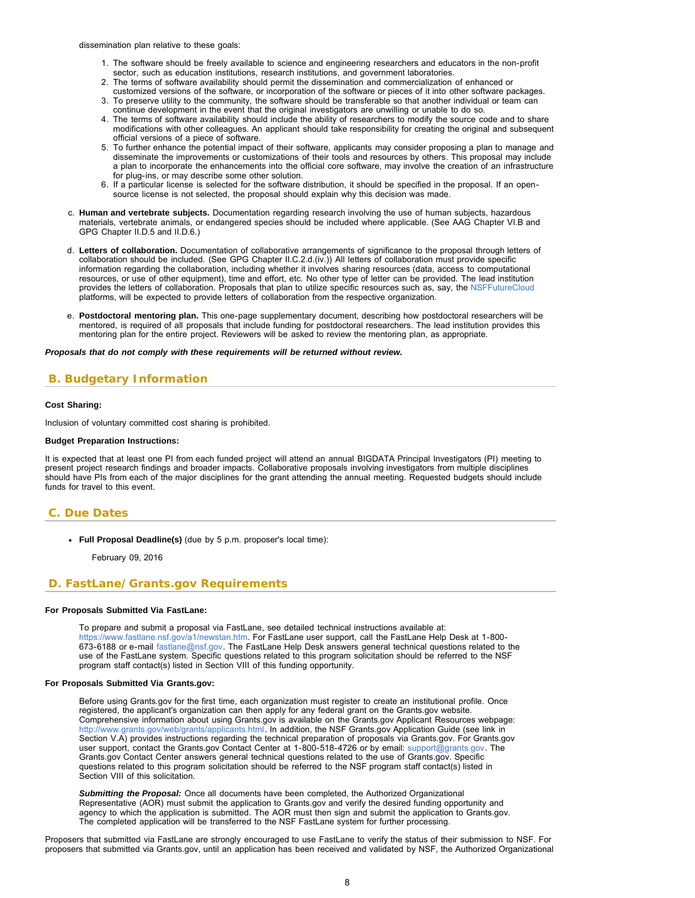<span id="page-7-1"></span>dissemination plan relative to these goals:

- 1. The software should be freely available to science and engineering researchers and educators in the non-profit sector, such as education institutions, research institutions, and government laboratories.
- 2. The terms of software availability should permit the dissemination and commercialization of enhanced or
- customized versions of the software, or incorporation of the software or pieces of it into other software packages. 3. To preserve utility to the community, the software should be transferable so that another individual or team can
- continue development in the event that the original investigators are unwilling or unable to do so.
- 4. The terms of software availability should include the ability of researchers to modify the source code and to share modifications with other colleagues. An applicant should take responsibility for creating the original and subsequent official versions of a piece of software.
- 5. To further enhance the potential impact of their software, applicants may consider proposing a plan to manage and disseminate the improvements or customizations of their tools and resources by others. This proposal may include a plan to incorporate the enhancements into the official core software, may involve the creation of an infrastructure for plug-ins, or may describe some other solution.
- 6. If a particular license is selected for the software distribution, it should be specified in the proposal. If an opensource license is not selected, the proposal should explain why this decision was made.
- c. **Human and vertebrate subjects.** Documentation regarding research involving the use of human subjects, hazardous materials, vertebrate animals, or endangered species should be included where applicable. (See AAG Chapter VI.B and GPG Chapter II.D.5 and II.D.6.)
- d. **Letters of collaboration.** Documentation of collaborative arrangements of significance to the proposal through letters of collaboration should be included. (See GPG Chapter II.C.2.d.(iv.)) All letters of collaboration must provide specific information regarding the collaboration, including whether it involves sharing resources (data, access to computational resources, or use of other equipment), time and effort, etc. No other type of letter can be provided. The lead institution provides the letters of collaboration. Proposals that plan to utilize specific resources such as, say, the [NSFFutureCloud](http://www.nsf.gov/pubs/2015/nsf15081/nsf15081.pdf) platforms, will be expected to provide letters of collaboration from the respective organization.
- e. **Postdoctoral mentoring plan.** This one-page supplementary document, describing how postdoctoral researchers will be mentored, is required of all proposals that include funding for postdoctoral researchers. The lead institution provides this mentoring plan for the entire project. Reviewers will be asked to review the mentoring plan, as appropriate.

#### *Proposals that do not comply with these requirements will be returned without review.*

### <span id="page-7-0"></span> **B. Budgetary Information**

#### **Cost Sharing:**

Inclusion of voluntary committed cost sharing is prohibited.

#### **Budget Preparation Instructions:**

It is expected that at least one PI from each funded project will attend an annual BIGDATA Principal Investigators (PI) meeting to present project research findings and broader impacts. Collaborative proposals involving investigators from multiple disciplines should have PIs from each of the major disciplines for the grant attending the annual meeting. Requested budgets should include funds for travel to this event.

### **C. Due Dates**

**Full Proposal Deadline(s)** (due by 5 p.m. proposer's local time):

February 09, 2016

### <span id="page-7-2"></span> **D. FastLane/Grants.gov Requirements**

#### **For Proposals Submitted Via FastLane:**

To prepare and submit a proposal via FastLane, see detailed technical instructions available at: [https://www.fastlane.nsf.gov/a1/newstan.htm.](https://www.fastlane.nsf.gov/a1/newstan.htm) For FastLane user support, call the FastLane Help Desk at 1-800- 673-6188 or e-mail [fastlane@nsf.gov.](mailto:fastlane@nsf.gov) The FastLane Help Desk answers general technical questions related to the use of the FastLane system. Specific questions related to this program solicitation should be referred to the NSF program staff contact(s) listed in Section VIII of this funding opportunity.

### **For Proposals Submitted Via Grants.gov:**

Before using Grants.gov for the first time, each organization must register to create an institutional profile. Once registered, the applicant's organization can then apply for any federal grant on the Grants.gov website. Comprehensive information about using Grants.gov is available on the Grants.gov Applicant Resources webpage: [http://www.grants.gov/web/grants/applicants.html.](http://www.grants.gov/web/grants/applicants.html) In addition, the NSF Grants.gov Application Guide (see link in Section V.A) provides instructions regarding the technical preparation of proposals via Grants.gov. For Grants.gov user support, contact the Grants.gov Contact Center at 1-800-518-4726 or by email: [support@grants.gov](mailto:support@grants.gov). The Grants.gov Contact Center answers general technical questions related to the use of Grants.gov. Specific questions related to this program solicitation should be referred to the NSF program staff contact(s) listed in Section VIII of this solicitation.

*Submitting the Proposal:* Once all documents have been completed, the Authorized Organizational Representative (AOR) must submit the application to Grants.gov and verify the desired funding opportunity and agency to which the application is submitted. The AOR must then sign and submit the application to Grants.gov. The completed application will be transferred to the NSF FastLane system for further processing.

Proposers that submitted via FastLane are strongly encouraged to use FastLane to verify the status of their submission to NSF. For proposers that submitted via Grants.gov, until an application has been received and validated by NSF, the Authorized Organizational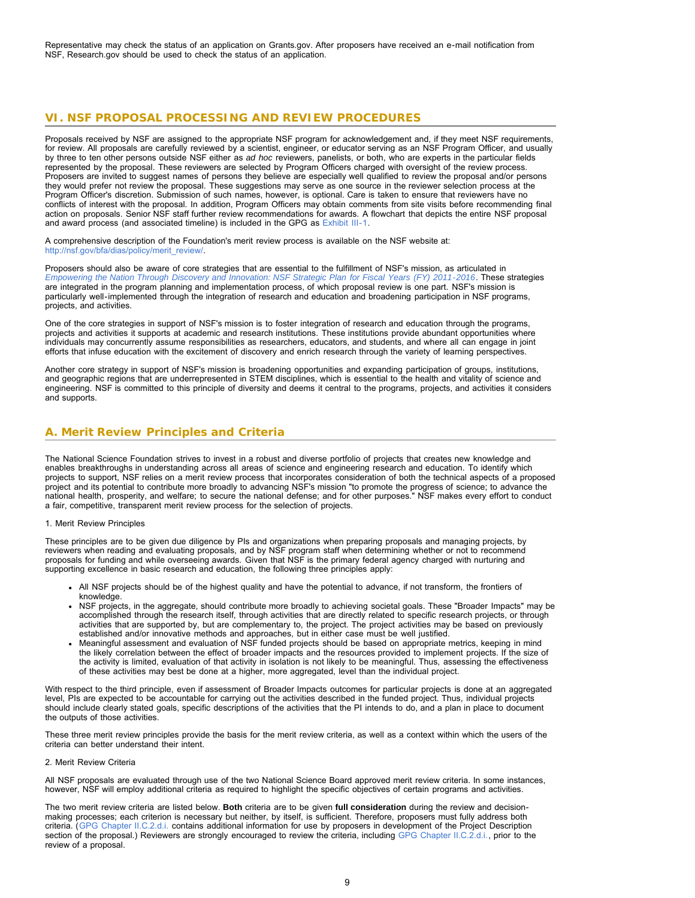<span id="page-8-0"></span>Representative may check the status of an application on Grants.gov. After proposers have received an e-mail notification from NSF, Research.gov should be used to check the status of an application.

### **VI. NSF PROPOSAL PROCESSING AND REVIEW PROCEDURES**

Proposals received by NSF are assigned to the appropriate NSF program for acknowledgement and, if they meet NSF requirements, for review. All proposals are carefully reviewed by a scientist, engineer, or educator serving as an NSF Program Officer, and usually by three to ten other persons outside NSF either as *ad hoc* reviewers, panelists, or both, who are experts in the particular fields represented by the proposal. These reviewers are selected by Program Officers charged with oversight of the review process. Proposers are invited to suggest names of persons they believe are especially well qualified to review the proposal and/or persons they would prefer not review the proposal. These suggestions may serve as one source in the reviewer selection process at the Program Officer's discretion. Submission of such names, however, is optional. Care is taken to ensure that reviewers have no conflicts of interest with the proposal. In addition, Program Officers may obtain comments from site visits before recommending final action on proposals. Senior NSF staff further review recommendations for awards. A flowchart that depicts the entire NSF proposal and award process (and associated timeline) is included in the GPG as [Exhibit III-1](http://www.nsf.gov/pubs/policydocs/pappguide/nsf13001/gpg_3ex1.pdf).

A comprehensive description of the Foundation's merit review process is available on the NSF website at: [http://nsf.gov/bfa/dias/policy/merit\\_review/.](http://nsf.gov/bfa/dias/policy/merit_review/)

Proposers should also be aware of core strategies that are essential to the fulfillment of NSF's mission, as articulated in *[Empowering the Nation Through Discovery and Innovation: NSF Strategic Plan for Fiscal Years \(FY\) 2011-2016](http://www.nsf.gov/news/strategicplan/nsfstrategicplan_2011_2016.pdf)*. These strategies are integrated in the program planning and implementation process, of which proposal review is one part. NSF's mission is particularly well-implemented through the integration of research and education and broadening participation in NSF programs, projects, and activities.

One of the core strategies in support of NSF's mission is to foster integration of research and education through the programs, projects and activities it supports at academic and research institutions. These institutions provide abundant opportunities where individuals may concurrently assume responsibilities as researchers, educators, and students, and where all can engage in joint efforts that infuse education with the excitement of discovery and enrich research through the variety of learning perspectives.

Another core strategy in support of NSF's mission is broadening opportunities and expanding participation of groups, institutions, and geographic regions that are underrepresented in STEM disciplines, which is essential to the health and vitality of science and engineering. NSF is committed to this principle of diversity and deems it central to the programs, projects, and activities it considers and supports.

### <span id="page-8-1"></span>**A. Merit Review Principles and Criteria**

The National Science Foundation strives to invest in a robust and diverse portfolio of projects that creates new knowledge and enables breakthroughs in understanding across all areas of science and engineering research and education. To identify which projects to support, NSF relies on a merit review process that incorporates consideration of both the technical aspects of a proposed project and its potential to contribute more broadly to advancing NSF's mission "to promote the progress of science; to advance the national health, prosperity, and welfare; to secure the national defense; and for other purposes." NSF makes every effort to conduct a fair, competitive, transparent merit review process for the selection of projects.

#### 1. Merit Review Principles

These principles are to be given due diligence by PIs and organizations when preparing proposals and managing projects, by reviewers when reading and evaluating proposals, and by NSF program staff when determining whether or not to recommend proposals for funding and while overseeing awards. Given that NSF is the primary federal agency charged with nurturing and supporting excellence in basic research and education, the following three principles apply:

- All NSF projects should be of the highest quality and have the potential to advance, if not transform, the frontiers of knowledge
- NSF projects, in the aggregate, should contribute more broadly to achieving societal goals. These "Broader Impacts" may be accomplished through the research itself, through activities that are directly related to specific research projects, or through activities that are supported by, but are complementary to, the project. The project activities may be based on previously established and/or innovative methods and approaches, but in either case must be well justified.
- Meaningful assessment and evaluation of NSF funded projects should be based on appropriate metrics, keeping in mind the likely correlation between the effect of broader impacts and the resources provided to implement projects. If the size of the activity is limited, evaluation of that activity in isolation is not likely to be meaningful. Thus, assessing the effectiveness of these activities may best be done at a higher, more aggregated, level than the individual project.

With respect to the third principle, even if assessment of Broader Impacts outcomes for particular projects is done at an aggregated level, PIs are expected to be accountable for carrying out the activities described in the funded project. Thus, individual projects should include clearly stated goals, specific descriptions of the activities that the PI intends to do, and a plan in place to document the outputs of those activities.

These three merit review principles provide the basis for the merit review criteria, as well as a context within which the users of the criteria can better understand their intent.

### 2. Merit Review Criteria

All NSF proposals are evaluated through use of the two National Science Board approved merit review criteria. In some instances, however, NSF will employ additional criteria as required to highlight the specific objectives of certain programs and activities.

The two merit review criteria are listed below. **Both** criteria are to be given **full consideration** during the review and decisionmaking processes; each criterion is necessary but neither, by itself, is sufficient. Therefore, proposers must fully address both criteria. ([GPG Chapter II.C.2.d.i.](http://www.nsf.gov/pubs/policydocs/pappguide/nsf13001/gpg_2.jsp#IIC2di) contains additional information for use by proposers in development of the Project Description section of the proposal.) Reviewers are strongly encouraged to review the criteria, including [GPG Chapter II.C.2.d.i.,](http://www.nsf.gov/pubs/policydocs/pappguide/nsf13001/gpg_2.jsp#IIC2di) prior to the review of a proposal.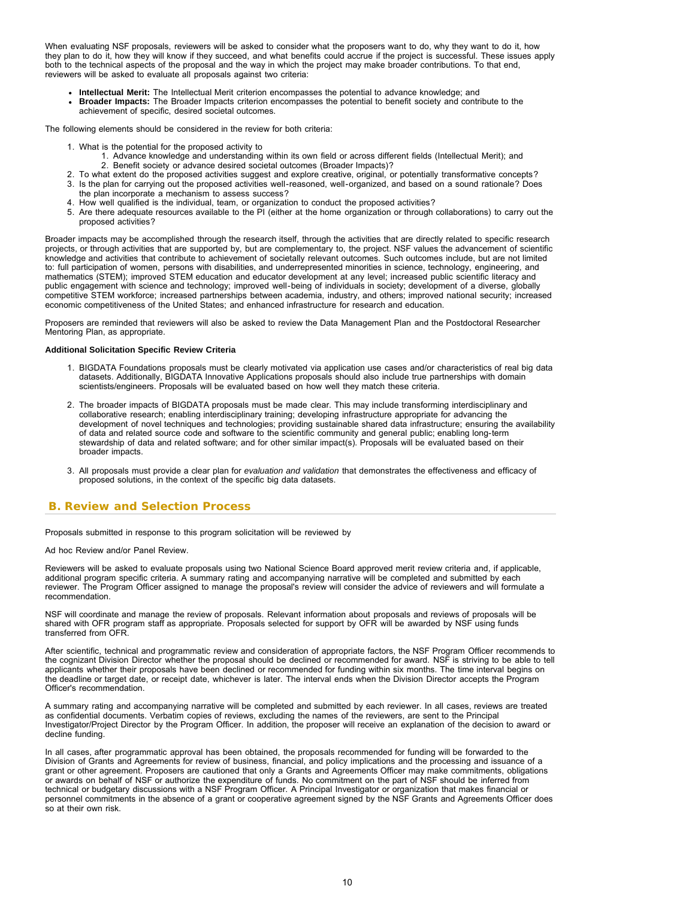When evaluating NSF proposals, reviewers will be asked to consider what the proposers want to do, why they want to do it, how they plan to do it, how they will know if they succeed, and what benefits could accrue if the project is successful. These issues apply both to the technical aspects of the proposal and the way in which the project may make broader contributions. To that end, reviewers will be asked to evaluate all proposals against two criteria:

- **Intellectual Merit:** The Intellectual Merit criterion encompasses the potential to advance knowledge; and
- **Broader Impacts:** The Broader Impacts criterion encompasses the potential to benefit society and contribute to the achievement of specific, desired societal outcomes.

The following elements should be considered in the review for both criteria:

- 1. What is the potential for the proposed activity to
	- 1. Advance knowledge and understanding within its own field or across different fields (Intellectual Merit); and 2. Benefit society or advance desired societal outcomes (Broader Impacts)?
- 2. To what extent do the proposed activities suggest and explore creative, original, or potentially transformative concepts?
- 3. Is the plan for carrying out the proposed activities well-reasoned, well-organized, and based on a sound rationale? Does the plan incorporate a mechanism to assess success?
- 4. How well qualified is the individual, team, or organization to conduct the proposed activities?
- 5. Are there adequate resources available to the PI (either at the home organization or through collaborations) to carry out the proposed activities?

Broader impacts may be accomplished through the research itself, through the activities that are directly related to specific research projects, or through activities that are supported by, but are complementary to, the project. NSF values the advancement of scientific knowledge and activities that contribute to achievement of societally relevant outcomes. Such outcomes include, but are not limited to: full participation of women, persons with disabilities, and underrepresented minorities in science, technology, engineering, and mathematics (STEM); improved STEM education and educator development at any level; increased public scientific literacy and public engagement with science and technology; improved well-being of individuals in society; development of a diverse, globally competitive STEM workforce; increased partnerships between academia, industry, and others; improved national security; increased economic competitiveness of the United States; and enhanced infrastructure for research and education.

Proposers are reminded that reviewers will also be asked to review the Data Management Plan and the Postdoctoral Researcher Mentoring Plan, as appropriate.

### **Additional Solicitation Specific Review Criteria**

- 1. BIGDATA Foundations proposals must be clearly motivated via application use cases and/or characteristics of real big data datasets. Additionally, BIGDATA Innovative Applications proposals should also include true partnerships with domain scientists/engineers. Proposals will be evaluated based on how well they match these criteria.
- 2. The broader impacts of BIGDATA proposals must be made clear. This may include transforming interdisciplinary and collaborative research; enabling interdisciplinary training; developing infrastructure appropriate for advancing the development of novel techniques and technologies; providing sustainable shared data infrastructure; ensuring the availability of data and related source code and software to the scientific community and general public; enabling long-term stewardship of data and related software; and for other similar impact(s). Proposals will be evaluated based on their broader impacts.
- 3. All proposals must provide a clear plan for *evaluation and validation* that demonstrates the effectiveness and efficacy of proposed solutions, in the context of the specific big data datasets.

### <span id="page-9-0"></span> **B. Review and Selection Process**

Proposals submitted in response to this program solicitation will be reviewed by

#### Ad hoc Review and/or Panel Review.

Reviewers will be asked to evaluate proposals using two National Science Board approved merit review criteria and, if applicable, additional program specific criteria. A summary rating and accompanying narrative will be completed and submitted by each reviewer. The Program Officer assigned to manage the proposal's review will consider the advice of reviewers and will formulate a recommendation.

NSF will coordinate and manage the review of proposals. Relevant information about proposals and reviews of proposals will be shared with OFR program staff as appropriate. Proposals selected for support by OFR will be awarded by NSF using funds transferred from OFR.

After scientific, technical and programmatic review and consideration of appropriate factors, the NSF Program Officer recommends to the cognizant Division Director whether the proposal should be declined or recommended for award. NSF is striving to be able to tell applicants whether their proposals have been declined or recommended for funding within six months. The time interval begins on the deadline or target date, or receipt date, whichever is later. The interval ends when the Division Director accepts the Program Officer's recommendation.

A summary rating and accompanying narrative will be completed and submitted by each reviewer. In all cases, reviews are treated as confidential documents. Verbatim copies of reviews, excluding the names of the reviewers, are sent to the Principal Investigator/Project Director by the Program Officer. In addition, the proposer will receive an explanation of the decision to award or decline funding.

In all cases, after programmatic approval has been obtained, the proposals recommended for funding will be forwarded to the Division of Grants and Agreements for review of business, financial, and policy implications and the processing and issuance of a grant or other agreement. Proposers are cautioned that only a Grants and Agreements Officer may make commitments, obligations or awards on behalf of NSF or authorize the expenditure of funds. No commitment on the part of NSF should be inferred from technical or budgetary discussions with a NSF Program Officer. A Principal Investigator or organization that makes financial or personnel commitments in the absence of a grant or cooperative agreement signed by the NSF Grants and Agreements Officer does so at their own risk.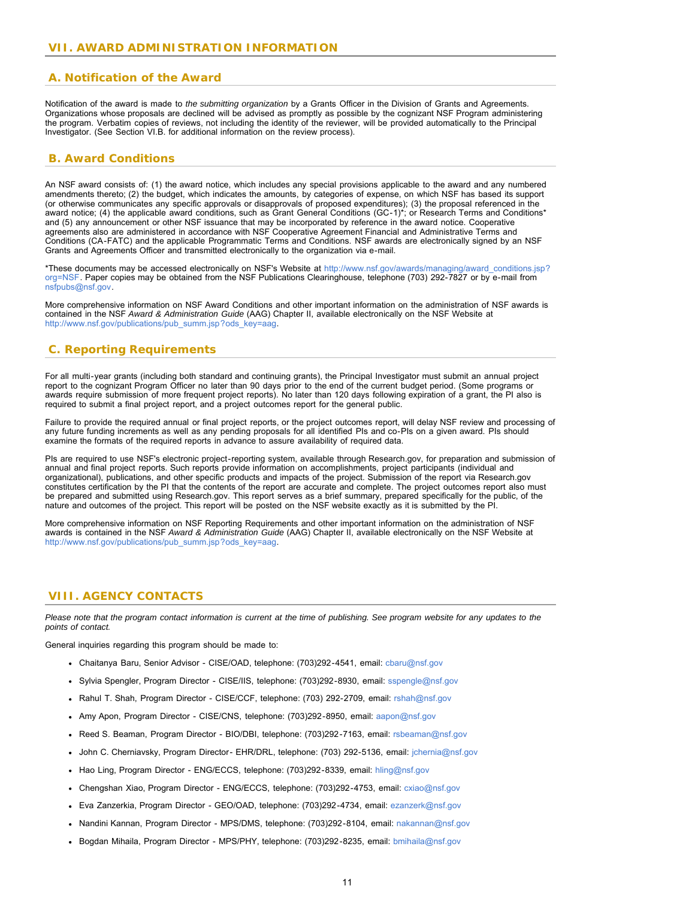### <span id="page-10-1"></span><span id="page-10-0"></span> **A. Notification of the Award**

Notification of the award is made to *the submitting organization* by a Grants Officer in the Division of Grants and Agreements. Organizations whose proposals are declined will be advised as promptly as possible by the cognizant NSF Program administering the program. Verbatim copies of reviews, not including the identity of the reviewer, will be provided automatically to the Principal Investigator. (See Section VI.B. for additional information on the review process).

### <span id="page-10-2"></span> **B. Award Conditions**

An NSF award consists of: (1) the award notice, which includes any special provisions applicable to the award and any numbered amendments thereto; (2) the budget, which indicates the amounts, by categories of expense, on which NSF has based its support (or otherwise communicates any specific approvals or disapprovals of proposed expenditures); (3) the proposal referenced in the award notice; (4) the applicable award conditions, such as Grant General Conditions (GC-1)\*; or Research Terms and Conditions\* and (5) any announcement or other NSF issuance that may be incorporated by reference in the award notice. Cooperative agreements also are administered in accordance with NSF Cooperative Agreement Financial and Administrative Terms and Conditions (CA-FATC) and the applicable Programmatic Terms and Conditions. NSF awards are electronically signed by an NSF Grants and Agreements Officer and transmitted electronically to the organization via e-mail.

\*These documents may be accessed electronically on NSF's Website at [http://www.nsf.gov/awards/managing/award\\_conditions.jsp?](http://www.nsf.gov/awards/managing/award_conditions.jsp?org=NSF) [org=NSF.](http://www.nsf.gov/awards/managing/award_conditions.jsp?org=NSF) Paper copies may be obtained from the NSF Publications Clearinghouse, telephone (703) 292-7827 or by e-mail from [nsfpubs@nsf.gov.](mailto:nsfpubs@nsf.gov)

More comprehensive information on NSF Award Conditions and other important information on the administration of NSF awards is contained in the NSF *Award & Administration Guide* (AAG) Chapter II, available electronically on the NSF Website at [http://www.nsf.gov/publications/pub\\_summ.jsp?ods\\_key=aag.](http://www.nsf.gov/publications/pub_summ.jsp?ods_key=aag)

### <span id="page-10-3"></span> **C. Reporting Requirements**

For all multi-year grants (including both standard and continuing grants), the Principal Investigator must submit an annual project report to the cognizant Program Officer no later than 90 days prior to the end of the current budget period. (Some programs or awards require submission of more frequent project reports). No later than 120 days following expiration of a grant, the PI also is required to submit a final project report, and a project outcomes report for the general public.

Failure to provide the required annual or final project reports, or the project outcomes report, will delay NSF review and processing of any future funding increments as well as any pending proposals for all identified PIs and co-PIs on a given award. PIs should examine the formats of the required reports in advance to assure availability of required data.

PIs are required to use NSF's electronic project-reporting system, available through Research.gov, for preparation and submission of annual and final project reports. Such reports provide information on accomplishments, project participants (individual and organizational), publications, and other specific products and impacts of the project. Submission of the report via Research.gov constitutes certification by the PI that the contents of the report are accurate and complete. The project outcomes report also must be prepared and submitted using Research.gov. This report serves as a brief summary, prepared specifically for the public, of the nature and outcomes of the project. This report will be posted on the NSF website exactly as it is submitted by the PI.

More comprehensive information on NSF Reporting Requirements and other important information on the administration of NSF awards is contained in the NSF *Award & Administration Guide* (AAG) Chapter II, available electronically on the NSF Website at [http://www.nsf.gov/publications/pub\\_summ.jsp?ods\\_key=aag.](http://www.nsf.gov/publications/pub_summ.jsp?ods_key=aag)

### <span id="page-10-4"></span> **VIII. AGENCY CONTACTS**

*Please note that the program contact information is current at the time of publishing. See program website for any updates to the points of contact.*

General inquiries regarding this program should be made to:

- Chaitanya Baru, Senior Advisor CISE/OAD, telephone: (703)292-4541, email: [cbaru@nsf.gov](mailto:cbaru@nsf.gov)
- Sylvia Spengler, Program Director CISE/IIS, telephone: (703)292-8930, email: [sspengle@nsf.gov](mailto:sspengle@nsf.gov)
- Rahul T. Shah, Program Director CISE/CCF, telephone: (703) 292-2709, email: [rshah@nsf.gov](mailto:rshah@nsf.gov)
- Amy Apon, Program Director CISE/CNS, telephone: (703)292-8950, email: [aapon@nsf.gov](mailto:aapon@nsf.gov)
- Reed S. Beaman, Program Director BIO/DBI, telephone: (703)292-7163, email: [rsbeaman@nsf.gov](mailto:rsbeaman@nsf.gov)
- John C. Cherniavsky, Program Director- EHR/DRL, telephone: (703) 292-5136, email: [jchernia@nsf.gov](mailto:jchernia@nsf.gov)  $\bullet$
- Hao Ling, Program Director ENG/ECCS, telephone: (703)292-8339, email: [hling@nsf.gov](mailto:hling@nsf.gov)
- Chengshan Xiao, Program Director ENG/ECCS, telephone: (703)292-4753, email: [cxiao@nsf.gov](mailto:cxiao@nsf.gov)
- Eva Zanzerkia, Program Director GEO/OAD, telephone: (703)292-4734, email: [ezanzerk@nsf.gov](mailto:ezanzerk@nsf.gov)
- Nandini Kannan, Program Director MPS/DMS, telephone: (703)292-8104, email: [nakannan@nsf.gov](mailto:nakannan@nsf.gov)
- Bogdan Mihaila, Program Director MPS/PHY, telephone: (703)292-8235, email: [bmihaila@nsf.gov](mailto:bmihaila@nsf.gov)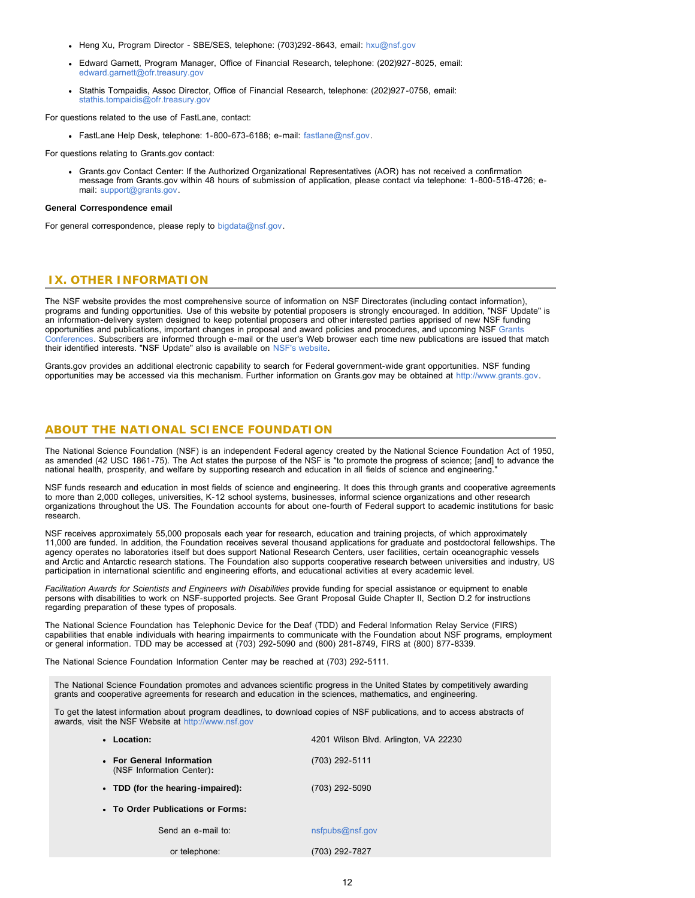- Heng Xu, Program Director SBE/SES, telephone: (703)292-8643, email: [hxu@nsf.gov](mailto:hxu@nsf.gov)
- Edward Garnett, Program Manager, Office of Financial Research, telephone: (202)927-8025, email: [edward.garnett@ofr.treasury.gov](mailto:edward.garnett@ofr.treasury.gov)
- Stathis Tompaidis, Assoc Director, Office of Financial Research, telephone: (202)927-0758, email: [stathis.tompaidis@ofr.treasury.gov](mailto:stathis.tompaidis@ofr.treasury.gov)

For questions related to the use of FastLane, contact:

• FastLane Help Desk, telephone: 1-800-673-6188; e-mail: [fastlane@nsf.gov.](mailto:fastlane@nsf.gov)

For questions relating to Grants.gov contact:

Grants.gov Contact Center: If the Authorized Organizational Representatives (AOR) has not received a confirmation message from Grants.gov within 48 hours of submission of application, please contact via telephone: 1-800-518-4726; email: [support@grants.gov.](mailto:support@grants.gov)

#### **General Correspondence email**

For general correspondence, please reply to [bigdata@nsf.gov](mailto:bigdata@nsf.gov).

### <span id="page-11-0"></span> **IX. OTHER INFORMATION**

The NSF website provides the most comprehensive source of information on NSF Directorates (including contact information), programs and funding opportunities. Use of this website by potential proposers is strongly encouraged. In addition, "NSF Update" is an information-delivery system designed to keep potential proposers and other interested parties apprised of new NSF funding opportunities and publications, important changes in proposal and award policies and procedures, and upcoming NSF [Grants](http://www.nsf.gov/bfa/dias/policy/outreach.jsp) [Conferences.](http://www.nsf.gov/bfa/dias/policy/outreach.jsp) Subscribers are informed through e-mail or the user's Web browser each time new publications are issued that match their identified interests. "NSF Update" also is available on [NSF's website.](file:///C|/Users/nzachary/Documents/Acessworkspace/pubs/2016/nsf16512/cgi-bin/good-bye?https://public.govdelivery.com/accounts/USNSF/subscriber/new?topic_id=USNSF_179)

Grants.gov provides an additional electronic capability to search for Federal government-wide grant opportunities. NSF funding opportunities may be accessed via this mechanism. Further information on Grants.gov may be obtained at [http://www.grants.gov.](http://www.grants.gov/)

### **ABOUT THE NATIONAL SCIENCE FOUNDATION**

The National Science Foundation (NSF) is an independent Federal agency created by the National Science Foundation Act of 1950, as amended (42 USC 1861-75). The Act states the purpose of the NSF is "to promote the progress of science; [and] to advance the national health, prosperity, and welfare by supporting research and education in all fields of science and engineering."

NSF funds research and education in most fields of science and engineering. It does this through grants and cooperative agreements to more than 2,000 colleges, universities, K-12 school systems, businesses, informal science organizations and other research organizations throughout the US. The Foundation accounts for about one-fourth of Federal support to academic institutions for basic research.

NSF receives approximately 55,000 proposals each year for research, education and training projects, of which approximately 11,000 are funded. In addition, the Foundation receives several thousand applications for graduate and postdoctoral fellowships. The agency operates no laboratories itself but does support National Research Centers, user facilities, certain oceanographic vessels and Arctic and Antarctic research stations. The Foundation also supports cooperative research between universities and industry, US participation in international scientific and engineering efforts, and educational activities at every academic level.

*Facilitation Awards for Scientists and Engineers with Disabilities* provide funding for special assistance or equipment to enable persons with disabilities to work on NSF-supported projects. See Grant Proposal Guide Chapter II, Section D.2 for instructions regarding preparation of these types of proposals.

The National Science Foundation has Telephonic Device for the Deaf (TDD) and Federal Information Relay Service (FIRS) capabilities that enable individuals with hearing impairments to communicate with the Foundation about NSF programs, employment or general information. TDD may be accessed at (703) 292-5090 and (800) 281-8749, FIRS at (800) 877-8339.

The National Science Foundation Information Center may be reached at (703) 292-5111.

The National Science Foundation promotes and advances scientific progress in the United States by competitively awarding grants and cooperative agreements for research and education in the sciences, mathematics, and engineering.

To get the latest information about program deadlines, to download copies of NSF publications, and to access abstracts of awards, visit the NSF Website at [http://www.nsf.gov](http://www.nsf.gov/)

| • Location:                                            | 4201 Wilson Blvd. Arlington, VA 22230 |
|--------------------------------------------------------|---------------------------------------|
| • For General Information<br>(NSF Information Center): | (703) 292-5111                        |
| • TDD (for the hearing-impaired):                      | (703) 292-5090                        |
| • To Order Publications or Forms:                      |                                       |
| Send an e-mail to:                                     | nsfpubs@nsf.gov                       |
| or telephone:                                          | (703) 292-7827                        |